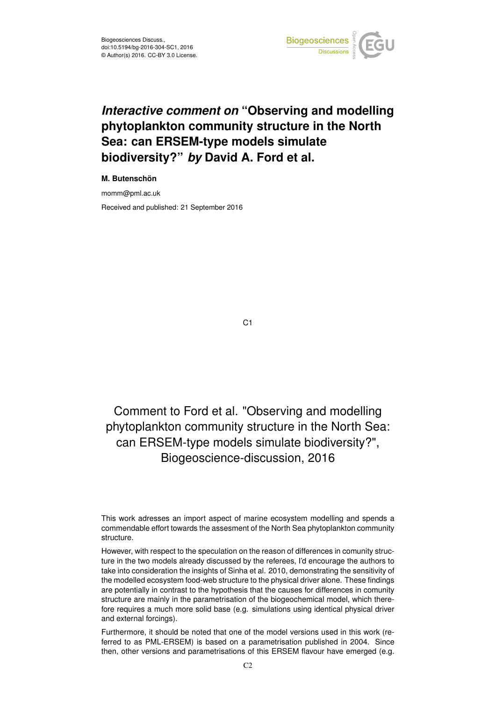

## *Interactive comment on* **"Observing and modelling phytoplankton community structure in the North Sea: can ERSEM-type models simulate biodiversity?"** *by* **David A. Ford et al.**

## **M. Butenschön**

momm@pml.ac.uk

Received and published: 21 September 2016

C1

## Comment to Ford et al. "Observing and modelling phytoplankton community structure in the North Sea: can ERSEM-type models simulate biodiversity?", Biogeoscience-discussion, 2016

This work adresses an import aspect of marine ecosystem modelling and spends a commendable effort towards the assesment of the North Sea phytoplankton community structure.

However, with respect to the speculation on the reason of differences in comunity structure in the two models already discussed by the referees, I'd encourage the authors to take into consideration the insights of Sinha et al. 2010, demonstrating the sensitivity of the modelled ecosystem food-web structure to the physical driver alone. These findings are potentially in contrast to the hypothesis that the causes for differences in comunity structure are mainly in the parametrisation of the biogeochemical model, which therefore requires a much more solid base (e.g. simulations using identical physical driver and external forcings).

Furthermore, it should be noted that one of the model versions used in this work (referred to as PML-ERSEM) is based on a parametrisation published in 2004. Since then, other versions and parametrisations of this ERSEM flavour have emerged (e.g.